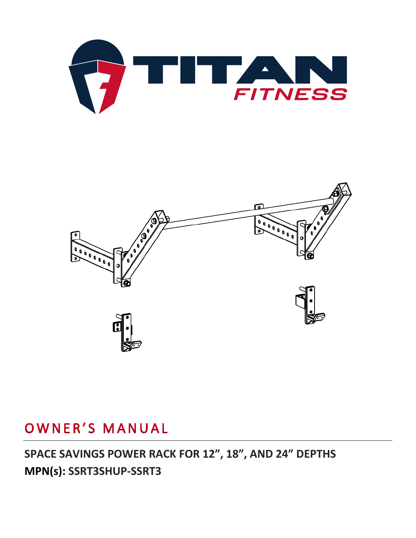



# OWNER'S MANUAL

## **SPACE SAVINGS POWER RACK FOR 12", 18", AND 24" DEPTHS MPN(s): SSRT3SHUP-SSRT3**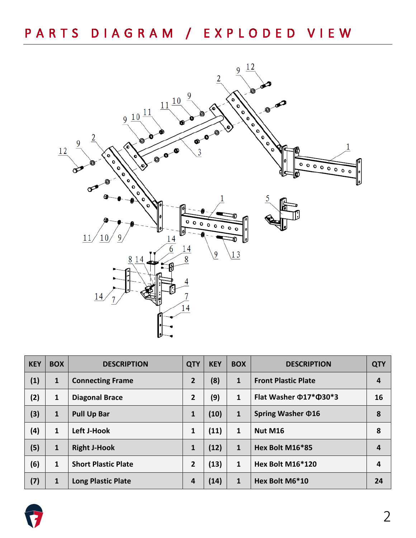

| <b>KEY</b> | <b>BOX</b>   | <b>DESCRIPTION</b>         | <b>QTY</b>     | <b>KEY</b> | <b>BOX</b>   | <b>DESCRIPTION</b>                 | <b>QTY</b> |
|------------|--------------|----------------------------|----------------|------------|--------------|------------------------------------|------------|
| (1)        | $\mathbf{1}$ | <b>Connecting Frame</b>    | $\overline{2}$ | (8)        | $\mathbf{1}$ | <b>Front Plastic Plate</b>         | 4          |
| (2)        | $\mathbf{1}$ | <b>Diagonal Brace</b>      | $\overline{2}$ | (9)        | $\mathbf{1}$ | Flat Washer $\Phi$ 17* $\Phi$ 30*3 | 16         |
| (3)        | $\mathbf{1}$ | <b>Pull Up Bar</b>         | $\mathbf{1}$   | (10)       | $\mathbf{1}$ | Spring Washer $\Phi$ 16            | 8          |
| (4)        | $\mathbf{1}$ | Left J-Hook                | 1              | (11)       | $\mathbf{1}$ | Nut M16                            | 8          |
| (5)        | $\mathbf{1}$ | <b>Right J-Hook</b>        | $\mathbf{1}$   | (12)       | $\mathbf{1}$ | Hex Bolt M16*85                    | 4          |
| (6)        | $\mathbf{1}$ | <b>Short Plastic Plate</b> | $\overline{2}$ | (13)       | $\mathbf{1}$ | Hex Bolt M16*120                   | 4          |
| (7)        | $\mathbf{1}$ | <b>Long Plastic Plate</b>  | 4              | (14)       | $\mathbf{1}$ | Hex Bolt M6*10                     | 24         |

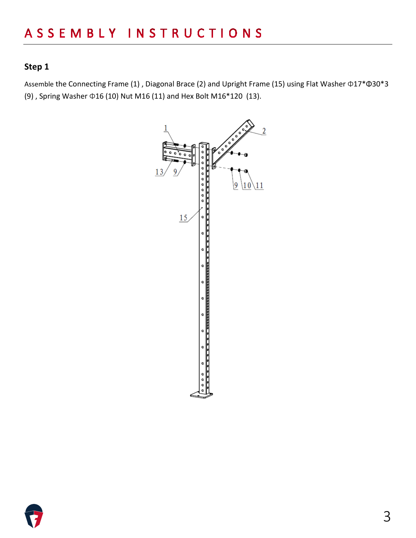#### **Step 1**

Assemble the Connecting Frame (1) , Diagonal Brace (2) and Upright Frame (15) using Flat Washer Φ17\*Φ30\*3 (9) , Spring Washer Φ16 (10) Nut M16 (11) and Hex Bolt M16\*120 (13).



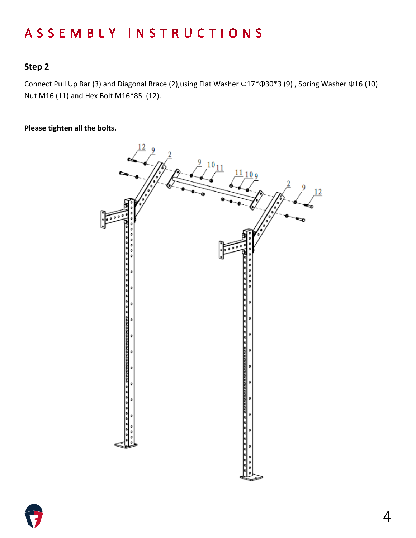#### **Step 2**

Connect Pull Up Bar (3) and Diagonal Brace (2),using Flat Washer Φ17\*Φ30\*3 (9) , Spring Washer Φ16 (10) Nut M16 (11) and Hex Bolt M16\*85 (12).

**Please tighten all the bolts.**



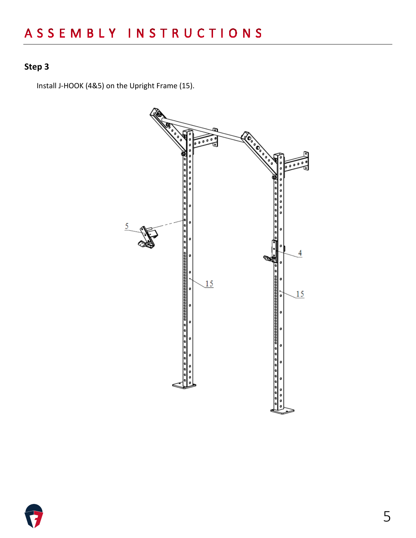### **Step 3**

Install J-HOOK (4&5) on the Upright Frame (15).